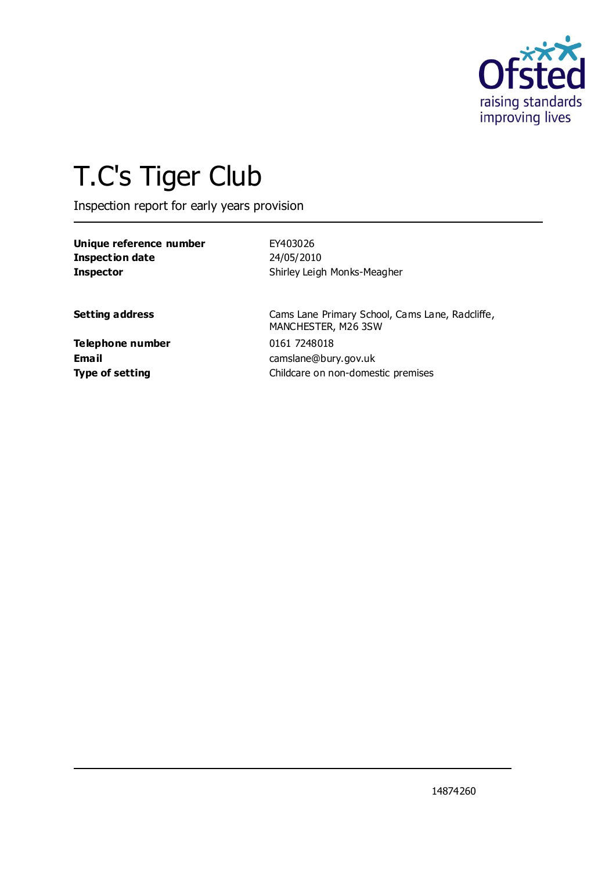

# T.C's Tiger Club

Inspection report for early years provision

| Unique reference number | EY403026                           |  |
|-------------------------|------------------------------------|--|
| <b>Inspection date</b>  | 24/05/2010                         |  |
| <b>Inspector</b>        | Shirley Leigh Monks-Meagher        |  |
| <b>Setting address</b>  | Cams Lane Primary School, Cams Lar |  |

**Telephone number** 0161 7248018

ne, Radcliffe, MANCHESTER, M26 3SW **Email** camslane@bury.gov.uk **Type of setting Childcare on non-domestic premises**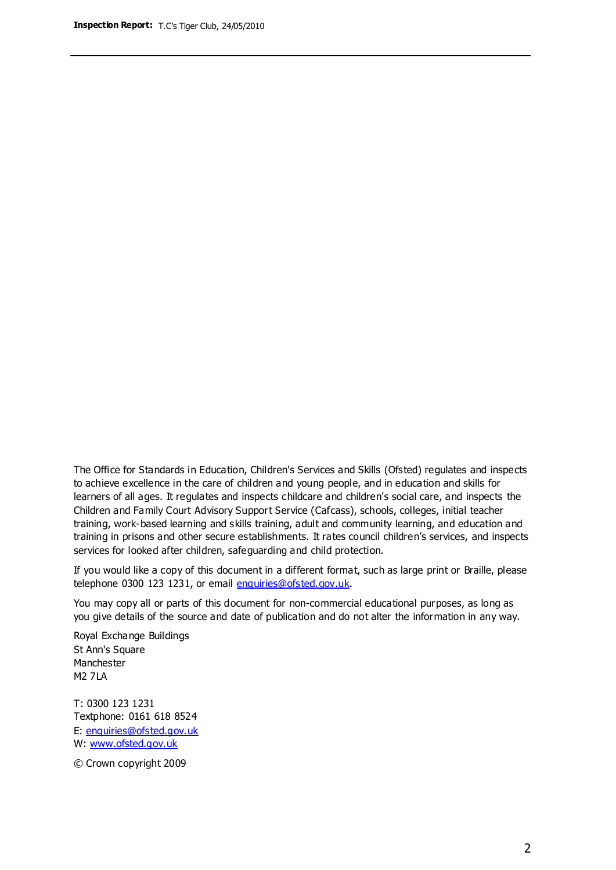The Office for Standards in Education, Children's Services and Skills (Ofsted) regulates and inspects to achieve excellence in the care of children and young people, and in education and skills for learners of all ages. It regulates and inspects childcare and children's social care, and inspects the Children and Family Court Advisory Support Service (Cafcass), schools, colleges, initial teacher training, work-based learning and skills training, adult and community learning, and education and training in prisons and other secure establishments. It rates council children's services, and inspects services for looked after children, safeguarding and child protection.

If you would like a copy of this document in a different format, such as large print or Braille, please telephone 0300 123 1231, or email enquiries@ofsted.gov.uk.

You may copy all or parts of this document for non-commercial educational purposes, as long as you give details of the source and date of publication and do not alter the information in any way.

Royal Exchange Buildings St Ann's Square Manchester M2 7LA

T: 0300 123 1231 Textphone: 0161 618 8524 E: enquiries@ofsted.gov.uk W: [www.ofsted.gov.uk](http://www.ofsted.gov.uk/)

© Crown copyright 2009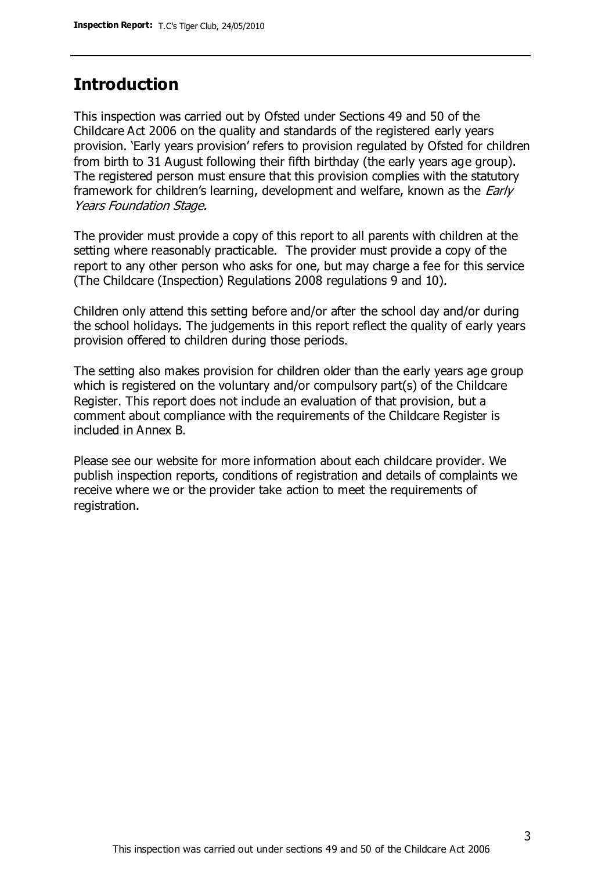### **Introduction**

This inspection was carried out by Ofsted under Sections 49 and 50 of the Childcare Act 2006 on the quality and standards of the registered early years provision. 'Early years provision' refers to provision regulated by Ofsted for children from birth to 31 August following their fifth birthday (the early years age group). The registered person must ensure that this provision complies with the statutory framework for children's learning, development and welfare, known as the *Early* Years Foundation Stage.

The provider must provide a copy of this report to all parents with children at the setting where reasonably practicable. The provider must provide a copy of the report to any other person who asks for one, but may charge a fee for this service (The Childcare (Inspection) Regulations 2008 regulations 9 and 10).

Children only attend this setting before and/or after the school day and/or during the school holidays. The judgements in this report reflect the quality of early years provision offered to children during those periods.

The setting also makes provision for children older than the early years age group which is registered on the voluntary and/or compulsory part(s) of the Childcare Register. This report does not include an evaluation of that provision, but a comment about compliance with the requirements of the Childcare Register is included in Annex B.

Please see our website for more information about each childcare provider. We publish inspection reports, conditions of registration and details of complaints we receive where we or the provider take action to meet the requirements of registration.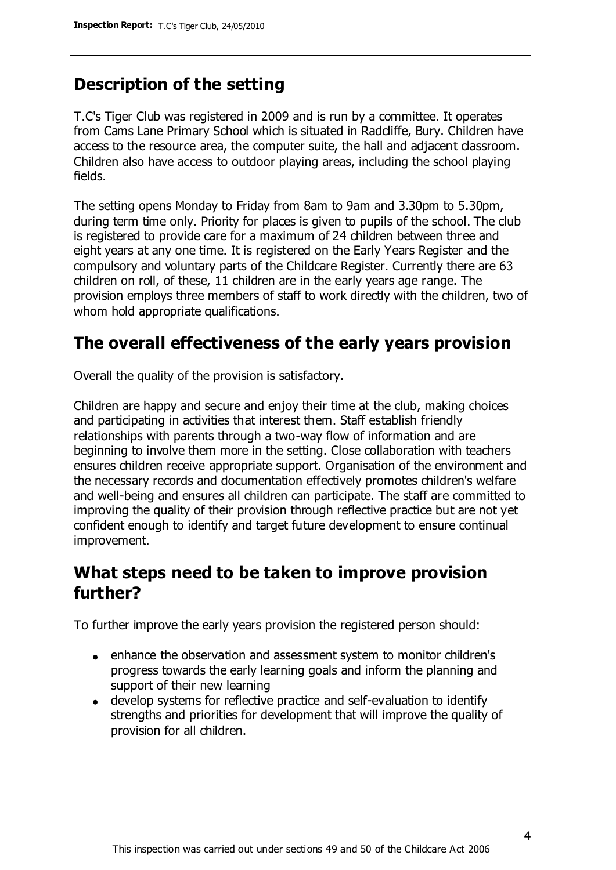## **Description of the setting**

T.C's Tiger Club was registered in 2009 and is run by a committee. It operates from Cams Lane Primary School which is situated in Radcliffe, Bury. Children have access to the resource area, the computer suite, the hall and adjacent classroom. Children also have access to outdoor playing areas, including the school playing fields.

The setting opens Monday to Friday from 8am to 9am and 3.30pm to 5.30pm, during term time only. Priority for places is given to pupils of the school. The club is registered to provide care for a maximum of 24 children between three and eight years at any one time. It is registered on the Early Years Register and the compulsory and voluntary parts of the Childcare Register. Currently there are 63 children on roll, of these, 11 children are in the early years age range. The provision employs three members of staff to work directly with the children, two of whom hold appropriate qualifications.

## **The overall effectiveness of the early years provision**

Overall the quality of the provision is satisfactory.

Children are happy and secure and enjoy their time at the club, making choices and participating in activities that interest them. Staff establish friendly relationships with parents through a two-way flow of information and are beginning to involve them more in the setting. Close collaboration with teachers ensures children receive appropriate support. Organisation of the environment and the necessary records and documentation effectively promotes children's welfare and well-being and ensures all children can participate. The staff are committed to improving the quality of their provision through reflective practice but are not yet confident enough to identify and target future development to ensure continual improvement.

## **What steps need to be taken to improve provision further?**

To further improve the early years provision the registered person should:

- enhance the observation and assessment system to monitor children's progress towards the early learning goals and inform the planning and support of their new learning
- develop systems for reflective practice and self-evaluation to identify strengths and priorities for development that will improve the quality of provision for all children.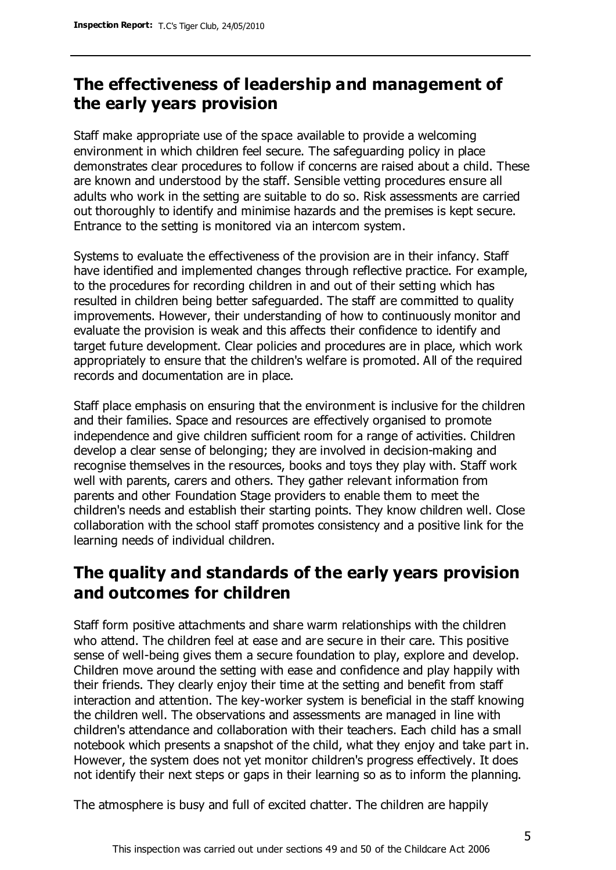## **The effectiveness of leadership and management of the early years provision**

Staff make appropriate use of the space available to provide a welcoming environment in which children feel secure. The safeguarding policy in place demonstrates clear procedures to follow if concerns are raised about a child. These are known and understood by the staff. Sensible vetting procedures ensure all adults who work in the setting are suitable to do so. Risk assessments are carried out thoroughly to identify and minimise hazards and the premises is kept secure. Entrance to the setting is monitored via an intercom system.

Systems to evaluate the effectiveness of the provision are in their infancy. Staff have identified and implemented changes through reflective practice. For example, to the procedures for recording children in and out of their setting which has resulted in children being better safeguarded. The staff are committed to quality improvements. However, their understanding of how to continuously monitor and evaluate the provision is weak and this affects their confidence to identify and target future development. Clear policies and procedures are in place, which work appropriately to ensure that the children's welfare is promoted. All of the required records and documentation are in place.

Staff place emphasis on ensuring that the environment is inclusive for the children and their families. Space and resources are effectively organised to promote independence and give children sufficient room for a range of activities. Children develop a clear sense of belonging; they are involved in decision-making and recognise themselves in the resources, books and toys they play with. Staff work well with parents, carers and others. They gather relevant information from parents and other Foundation Stage providers to enable them to meet the children's needs and establish their starting points. They know children well. Close collaboration with the school staff promotes consistency and a positive link for the learning needs of individual children.

## **The quality and standards of the early years provision and outcomes for children**

Staff form positive attachments and share warm relationships with the children who attend. The children feel at ease and are secure in their care. This positive sense of well-being gives them a secure foundation to play, explore and develop. Children move around the setting with ease and confidence and play happily with their friends. They clearly enjoy their time at the setting and benefit from staff interaction and attention. The key-worker system is beneficial in the staff knowing the children well. The observations and assessments are managed in line with children's attendance and collaboration with their teachers. Each child has a small notebook which presents a snapshot of the child, what they enjoy and take part in. However, the system does not yet monitor children's progress effectively. It does not identify their next steps or gaps in their learning so as to inform the planning.

The atmosphere is busy and full of excited chatter. The children are happily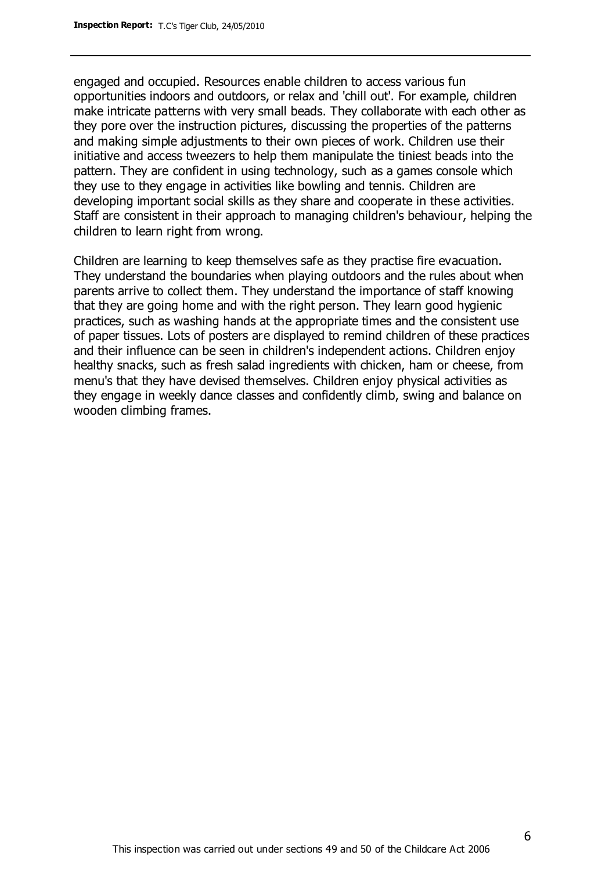engaged and occupied. Resources enable children to access various fun opportunities indoors and outdoors, or relax and 'chill out'. For example, children make intricate patterns with very small beads. They collaborate with each other as they pore over the instruction pictures, discussing the properties of the patterns and making simple adjustments to their own pieces of work. Children use their initiative and access tweezers to help them manipulate the tiniest beads into the pattern. They are confident in using technology, such as a games console which they use to they engage in activities like bowling and tennis. Children are developing important social skills as they share and cooperate in these activities. Staff are consistent in their approach to managing children's behaviour, helping the children to learn right from wrong.

Children are learning to keep themselves safe as they practise fire evacuation. They understand the boundaries when playing outdoors and the rules about when parents arrive to collect them. They understand the importance of staff knowing that they are going home and with the right person. They learn good hygienic practices, such as washing hands at the appropriate times and the consistent use of paper tissues. Lots of posters are displayed to remind children of these practices and their influence can be seen in children's independent actions. Children enjoy healthy snacks, such as fresh salad ingredients with chicken, ham or cheese, from menu's that they have devised themselves. Children enjoy physical activities as they engage in weekly dance classes and confidently climb, swing and balance on wooden climbing frames.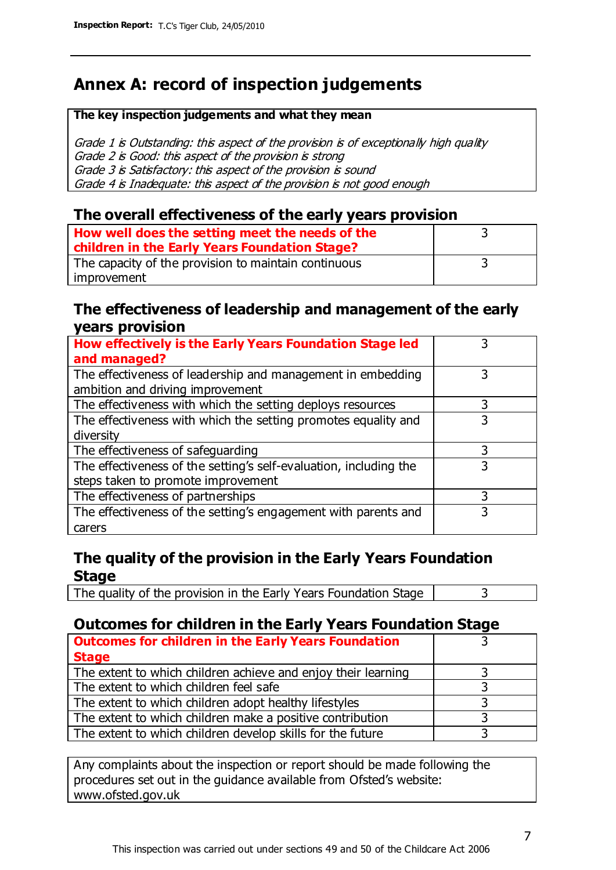# **Annex A: record of inspection judgements**

#### **The key inspection judgements and what they mean**

Grade 1 is Outstanding: this aspect of the provision is of exceptionally high quality Grade 2 is Good: this aspect of the provision is strong Grade 3 is Satisfactory: this aspect of the provision is sound Grade 4 is Inadequate: this aspect of the provision is not good enough

#### **The overall effectiveness of the early years provision**

| How well does the setting meet the needs of the<br>children in the Early Years Foundation Stage? |  |
|--------------------------------------------------------------------------------------------------|--|
| The capacity of the provision to maintain continuous                                             |  |
| improvement                                                                                      |  |

#### **The effectiveness of leadership and management of the early years provision**

| How effectively is the Early Years Foundation Stage led<br>and managed?                         |   |
|-------------------------------------------------------------------------------------------------|---|
| The effectiveness of leadership and management in embedding<br>ambition and driving improvement | 3 |
| The effectiveness with which the setting deploys resources                                      | 3 |
| The effectiveness with which the setting promotes equality and                                  |   |
| diversity                                                                                       |   |
| The effectiveness of safeguarding                                                               | 3 |
| The effectiveness of the setting's self-evaluation, including the                               | 3 |
| steps taken to promote improvement                                                              |   |
| The effectiveness of partnerships                                                               | 3 |
| The effectiveness of the setting's engagement with parents and                                  |   |
| carers                                                                                          |   |

#### **The quality of the provision in the Early Years Foundation Stage**

The quality of the provision in the Early Years Foundation Stage  $\vert$  3

#### **Outcomes for children in the Early Years Foundation Stage**

| <b>Outcomes for children in the Early Years Foundation</b>    |  |
|---------------------------------------------------------------|--|
| <b>Stage</b>                                                  |  |
| The extent to which children achieve and enjoy their learning |  |
| The extent to which children feel safe                        |  |
| The extent to which children adopt healthy lifestyles         |  |
| The extent to which children make a positive contribution     |  |
| The extent to which children develop skills for the future    |  |

Any complaints about the inspection or report should be made following the procedures set out in the guidance available from Ofsted's website: www.ofsted.gov.uk